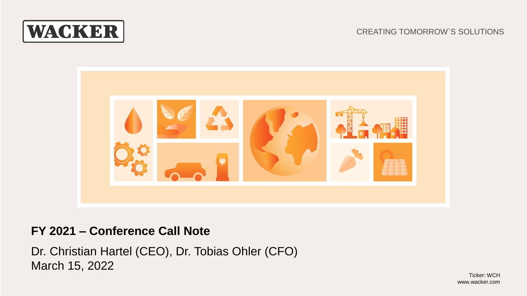

#### CREATING TOMORROW`S SOLUTIONS



# **FY 2021 – Conference Call Note**

Dr. Christian Hartel (CEO), Dr. Tobias Ohler (CFO) March 15, 2022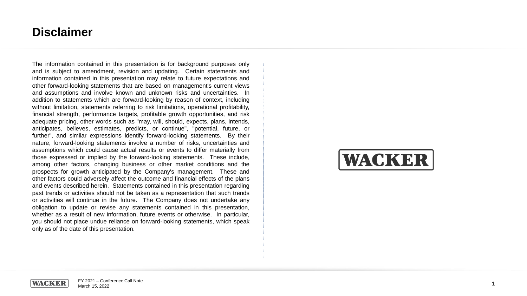# **Disclaimer**

The information contained in this presentation is for background purposes only and is subject to amendment, revision and updating . Certain statements and information contained in this presentation may relate to future expectations and other forward -looking statements that are based on management's current views and assumptions and involve known and unknown risks and uncertainties . In addition to statements which are forward -looking by reason of context, including without limitation, statements referring to risk limitations, operational profitability, financial strength, performance targets, profitable growth opportunities, and risk adequate pricing, other words such as "may, will, should, expects, plans, intends, anticipates, believes, estimates, predicts, or continue", "potential, future, or further", and similar expressions identify forward -looking statements . By their nature, forward -looking statements involve a number of risks, uncertainties and assumptions which could cause actual results or events to differ materially from those expressed or implied by the forward -looking statements . These include, among other factors, changing business or other market conditions and the prospects for growth anticipated by the Company's management . These and other factors could adversely affect the outcome and financial effects of the plans and events described herein . Statements contained in this presentation regarding past trends or activities should not be taken as a representation that such trends or activities will continue in the future . The Company does not undertake any obligation to update or revise any statements contained in this presentation, whether as a result of new information, future events or otherwise . In particular, you should not place undue reliance on forward -looking statements, which speak only as of the date of this presentation .



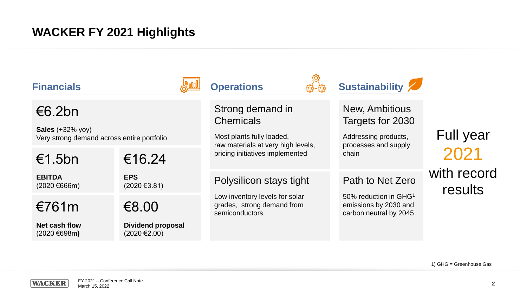# **WACKER FY 2021 Highlights**

| <b>Financials</b>                                                           |                                                        | <b>Operations</b>                                                                                       | <b>Sustainability</b>                                                                     |                        |
|-----------------------------------------------------------------------------|--------------------------------------------------------|---------------------------------------------------------------------------------------------------------|-------------------------------------------------------------------------------------------|------------------------|
| €6.2bn<br>Sales $(+32\%$ yoy)<br>Very strong demand across entire portfolio |                                                        | Strong demand in<br><b>Chemicals</b><br>Most plants fully loaded,<br>raw materials at very high levels, | <b>New, Ambitious</b><br>Targets for 2030<br>Addressing products,<br>processes and supply | <b>Full year</b>       |
| €1.5bn                                                                      | €16.24                                                 | pricing initiatives implemented                                                                         | chain                                                                                     | 2021                   |
| <b>EBITDA</b><br>$(2020 \text{ } \in 666 \text{)}$                          | <b>EPS</b><br>$(2020 \text{ } \in \infty)$             | Polysilicon stays tight                                                                                 | Path to Net Zero                                                                          | with record<br>results |
| €761m                                                                       | €8.00                                                  | Low inventory levels for solar<br>grades, strong demand from<br>semiconductors                          | 50% reduction in GHG <sup>1</sup><br>emissions by 2030 and<br>carbon neutral by 2045      |                        |
| Net cash flow<br>$(2020 \text{ } \in 698 \text{m})$                         | <b>Dividend proposal</b><br>$(2020 \text{ } \in 2.00)$ |                                                                                                         |                                                                                           |                        |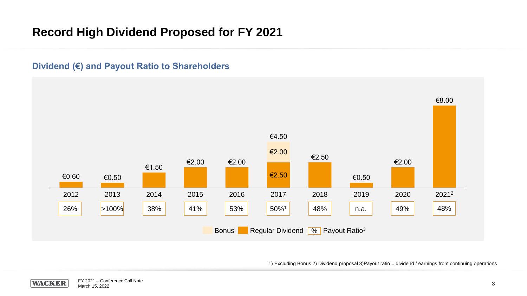# **Record High Dividend Proposed for FY 2021**

#### **Dividend (€) and Payout Ratio to Shareholders**



1) Excluding Bonus 2) Dividend proposal 3)Payout ratio = dividend / earnings from continuing operations

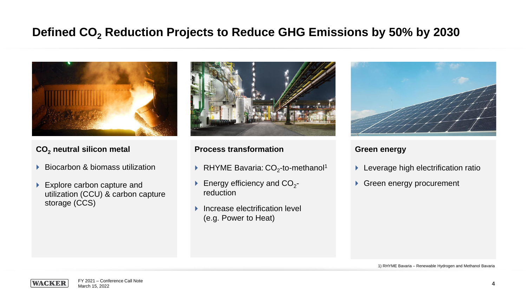# **Defined CO<sup>2</sup> Reduction Projects to Reduce GHG Emissions by 50% by 2030**



#### **CO<sup>2</sup> neutral silicon metal**

- ▶ Biocarbon & biomass utilization
- ▶ Explore carbon capture and utilization (CCU) & carbon capture storage (CCS)



#### **Process transformation**

- RHYME Bavaria:  $CO<sub>2</sub>$ -to-methanol<sup>1</sup>
- Energy efficiency and  $CO_{2}$ reduction
- Increase electrification level (e.g. Power to Heat)



#### **Green energy**

- **Leverage high electrification ratio**
- Green energy procurement

1) RHYME Bavaria – Renewable Hydrogen and Methanol Bavaria

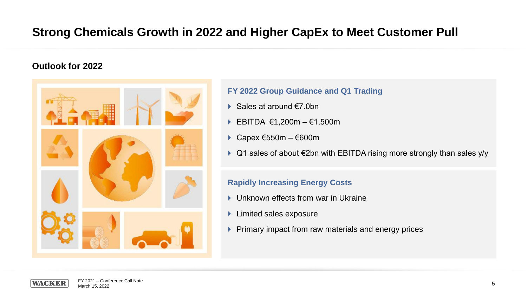# **Strong Chemicals Growth in 2022 and Higher CapEx to Meet Customer Pull**

#### **Outlook for 2022**



#### **FY 2022 Group Guidance and Q1 Trading**

- Sales at around  $f(7)$  0bn
- EBITDA  $\epsilon$ 1,200m  $\epsilon$ 1,500m
- Capex €550m €600m
- Q1 sales of about €2bn with EBITDA rising more strongly than sales y/y

#### **Rapidly Increasing Energy Costs**

- ▶ Unknown effects from war in Ukraine
- **Limited sales exposure**
- **Primary impact from raw materials and energy prices**

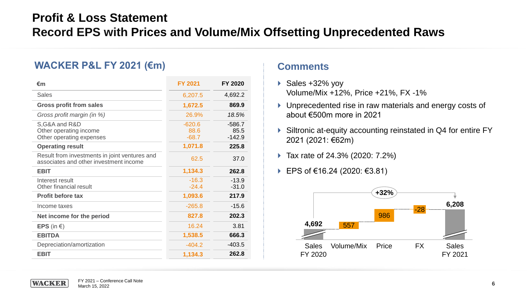# **Profit & Loss Statement Record EPS with Prices and Volume/Mix Offsetting Unprecedented Raws**

### **WACKER P&L FY 2021 (€m)**

| €m                                                                                      | <b>FY 2021</b>              | <b>FY 2020</b>               |
|-----------------------------------------------------------------------------------------|-----------------------------|------------------------------|
| <b>Sales</b>                                                                            | 6,207.5                     | 4,692.2                      |
| <b>Gross profit from sales</b>                                                          | 1,672.5                     | 869.9                        |
| Gross profit margin (in %)                                                              | 26.9%                       | 18.5%                        |
| S, G&A and R&D<br>Other operating income<br>Other operating expenses                    | $-620.6$<br>88.6<br>$-68.7$ | $-586.7$<br>85.5<br>$-142.9$ |
| <b>Operating result</b>                                                                 | 1,071.8                     | 225.8                        |
| Result from investments in joint ventures and<br>associates and other investment income | 62.5                        | 37.0                         |
| <b>EBIT</b>                                                                             | 1,134.3                     | 262.8                        |
| Interest result<br>Other financial result                                               | $-16.3$<br>$-24.4$          | $-13.9$<br>$-31.0$           |
| <b>Profit before tax</b>                                                                | 1,093.6                     | 217.9                        |
| Income taxes                                                                            | $-265.8$                    | $-15.6$                      |
| Net income for the period                                                               | 827.8                       | 202.3                        |
| <b>EPS</b> (in $\epsilon$ )                                                             | 16.24                       | 3.81                         |
| <b>EBITDA</b>                                                                           | 1,538.5                     | 666.3                        |
| Depreciation/amortization                                                               | $-404.2$                    | $-403.5$                     |
| <b>EBIT</b>                                                                             | 1,134.3                     | 262.8                        |

#### **Comments**

- Sales  $+32\%$  yoy Volume/Mix +12%, Price +21%, FX -1%
- **I** Unprecedented rise in raw materials and energy costs of about €500m more in 2021
- ▶ Siltronic at-equity accounting reinstated in Q4 for entire FY 2021 (2021: €62m)
- Tax rate of 24.3% (2020: 7.2%)
- EPS of €16.24 (2020: €3.81)



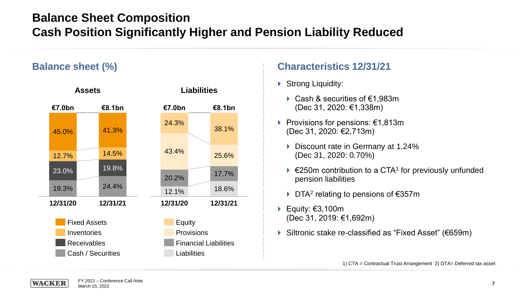# **Balance Sheet Composition Cash Position Significantly Higher and Pension Liability Reduced**

### **Balance sheet (%)**



### **Characteristics 12/31/21**

- Strong Liquidity:
	- Cash & securities of €1,983m (Dec 31, 2020: €1,338m)
- Provisions for pensions: €1,813m (Dec 31, 2020: €2,713m)
	- ▶ Discount rate in Germany at 1.24% (Dec 31, 2020: 0.70%)
	- $\triangleright$  €250m contribution to a CTA<sup>1</sup> for previously unfunded pension liabilities
	- ▶ DTA<sup>2</sup> relating to pensions of €357m
- Equity:  $€3,100m$ (Dec 31, 2019: €1,692m)
- Siltronic stake re-classified as "Fixed Asset" (€659m)

1) CTA = Contractual Trust Arrangement 2) DTA= Deferred tax asset

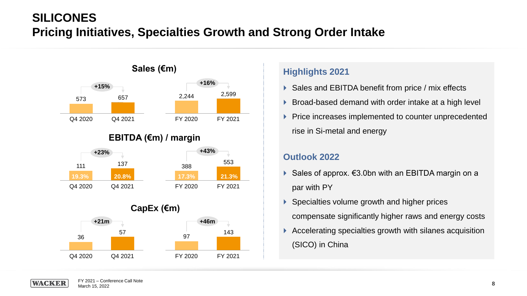# **SILICONES Pricing Initiatives, Specialties Growth and Strong Order Intake**

FY 2020 FY 2021



#### **Highlights 2021**

- ▶ Sales and EBITDA benefit from price / mix effects
- Broad-based demand with order intake at a high level
- ▶ Price increases implemented to counter unprecedented rise in Si-metal and energy

#### **Outlook 2022**

- Sales of approx.  $\epsilon$ 3.0bn with an EBITDA margin on a par with PY
- ▶ Specialties volume growth and higher prices

compensate significantly higher raws and energy costs

 Accelerating specialties growth with silanes acquisition (SICO) in China

Q4 2020 Q4 2021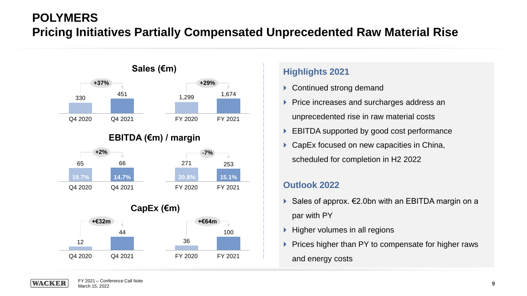# **POLYMERS Pricing Initiatives Partially Compensated Unprecedented Raw Material Rise**



### **EBITDA (€m) / margin**



**CapEx (€m)**



### **Highlights 2021**

- ▶ Continued strong demand
- Price increases and surcharges address an unprecedented rise in raw material costs
- EBITDA supported by good cost performance
- ▶ CapEx focused on new capacities in China, scheduled for completion in H2 2022

#### **Outlook 2022**

- Sales of approx.  $\epsilon$ 2.0bn with an EBITDA margin on a par with PY
- $\blacktriangleright$  Higher volumes in all regions
- $\triangleright$  Prices higher than PY to compensate for higher raws and energy costs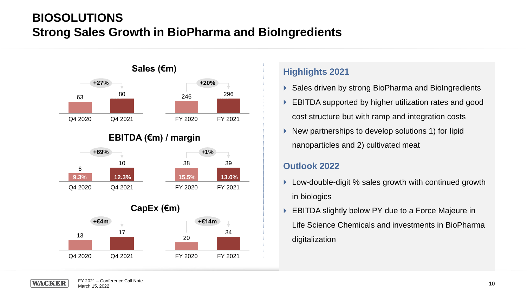# **BIOSOLUTIONS Strong Sales Growth in BioPharma and BioIngredients**



### **EBITDA (€m) / margin**



**CapEx (€m)**



### **Highlights 2021**

- ▶ Sales driven by strong BioPharma and BioIngredients
- ▶ EBITDA supported by higher utilization rates and good cost structure but with ramp and integration costs
- $\triangleright$  New partnerships to develop solutions 1) for lipid nanoparticles and 2) cultivated meat

#### **Outlook 2022**

- ▶ Low-double-digit % sales growth with continued growth in biologics
- ▶ EBITDA slightly below PY due to a Force Majeure in Life Science Chemicals and investments in BioPharma digitalization

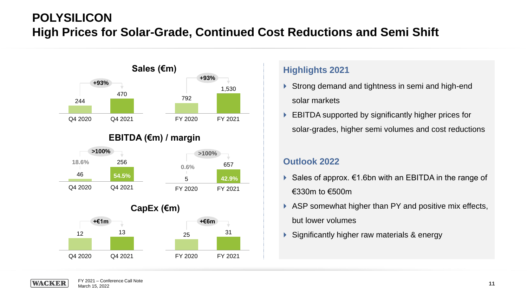# **POLYSILICON High Prices for Solar-Grade, Continued Cost Reductions and Semi Shift**



#### **Highlights 2021**

- ▶ Strong demand and tightness in semi and high-end solar markets
- ▶ EBITDA supported by significantly higher prices for solar-grades, higher semi volumes and cost reductions

#### **Outlook 2022**

- Sales of approx.  $\epsilon$ 1.6bn with an EBITDA in the range of €330m to €500m
- ASP somewhat higher than PY and positive mix effects, but lower volumes
- Significantly higher raw materials & energy

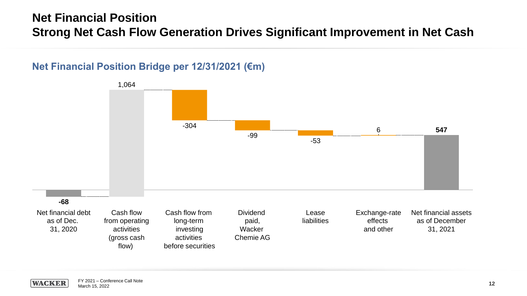# **Net Financial Position Strong Net Cash Flow Generation Drives Significant Improvement in Net Cash**

### **Net Financial Position Bridge per 12/31/2021 (€m)**



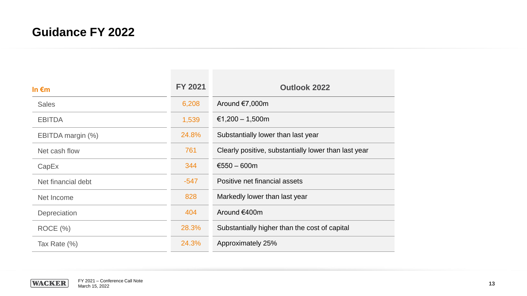# **Guidance FY 2022**

| In $\epsilon$ m    | <b>FY 2021</b> | <b>Outlook 2022</b>                                  |
|--------------------|----------------|------------------------------------------------------|
| <b>Sales</b>       | 6,208          | Around €7,000m                                       |
| <b>EBITDA</b>      | 1,539          | €1,200 – 1,500m                                      |
| EBITDA margin (%)  | 24.8%          | Substantially lower than last year                   |
| Net cash flow      | 761            | Clearly positive, substantially lower than last year |
| CapEx              | 344            | €550 $-$ 600m                                        |
| Net financial debt | $-547$         | Positive net financial assets                        |
| Net Income         | 828            | Markedly lower than last year                        |
| Depreciation       | 404            | Around €400m                                         |
| ROCE (%)           | 28.3%          | Substantially higher than the cost of capital        |
| Tax Rate (%)       | 24.3%          | Approximately 25%                                    |

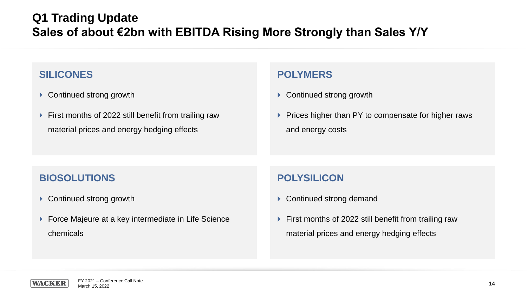# **Q1 Trading Update Sales of about €2bn with EBITDA Rising More Strongly than Sales Y/Y**

### **SILICONES**

- ▶ Continued strong growth
- ▶ First months of 2022 still benefit from trailing raw material prices and energy hedging effects

### **POLYMERS**

- ▶ Continued strong growth
- $\triangleright$  Prices higher than PY to compensate for higher raws and energy costs

### **BIOSOLUTIONS**

- ▶ Continued strong growth
- ▶ Force Majeure at a key intermediate in Life Science chemicals

### **POLYSILICON**

- ▶ Continued strong demand
- First months of 2022 still benefit from trailing raw material prices and energy hedging effects

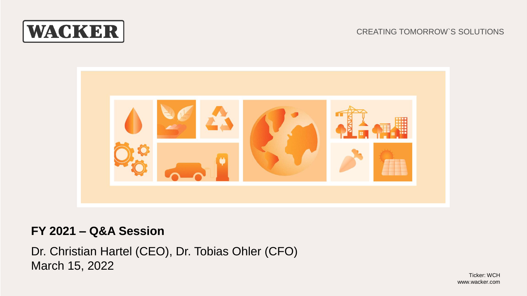

#### CREATING TOMORROW`S SOLUTIONS



# **FY 2021 – Q&A Session**

Dr. Christian Hartel (CEO), Dr. Tobias Ohler (CFO) March 15, 2022

MWW.Wacker.com www.wacker.com www.wacker.com www.wacker.com www.wacker.com www.wacker.com www.wacker.com w Ticker: WCH www.wacker.com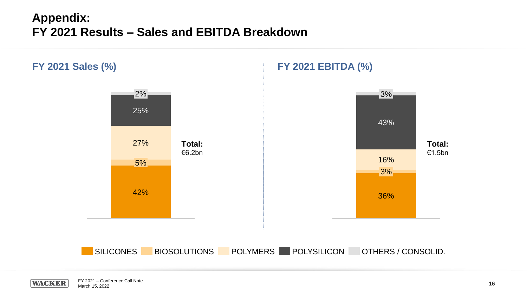# **Appendix: FY 2021 Results – Sales and EBITDA Breakdown**

**WACKER** 



r i 2021 – Conference Calif Note<br>March 15, 2022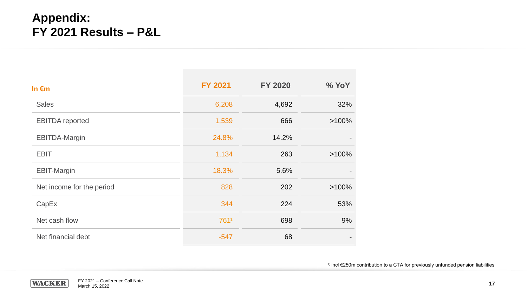# **Appendix: FY 2021 Results – P&L**

| In $\epsilon$ m           | <b>FY 2021</b> | <b>FY 2020</b> | % YoY    |
|---------------------------|----------------|----------------|----------|
| <b>Sales</b>              | 6,208          | 4,692          | 32%      |
| <b>EBITDA</b> reported    | 1,539          | 666            | $>100\%$ |
| <b>EBITDA-Margin</b>      | 24.8%          | 14.2%          |          |
| <b>EBIT</b>               | 1,134          | 263            | $>100\%$ |
| <b>EBIT-Margin</b>        | 18.3%          | 5.6%           |          |
| Net income for the period | 828            | 202            | $>100\%$ |
| CapEx                     | 344            | 224            | 53%      |
| Net cash flow             | 7611           | 698            | 9%       |
| Net financial debt        | $-547$         | 68             |          |

<sup>1)</sup> incl €250m contribution to a CTA for previously unfunded pension liabilities

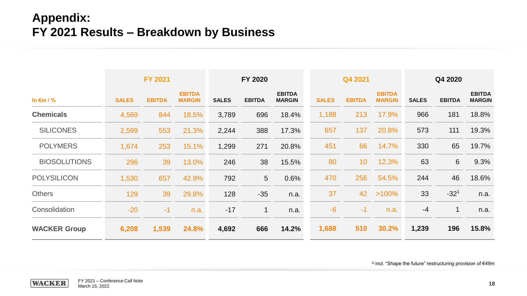# **Appendix: FY 2021 Results – Breakdown by Business**

|                     |              | <b>FY 2021</b> |                                |              | FY 2020       |                                |              | Q4 2021       |                                |              | Q4 2020       |                                |
|---------------------|--------------|----------------|--------------------------------|--------------|---------------|--------------------------------|--------------|---------------|--------------------------------|--------------|---------------|--------------------------------|
| In $\epsilon$ m / % | <b>SALES</b> | <b>EBITDA</b>  | <b>EBITDA</b><br><b>MARGIN</b> | <b>SALES</b> | <b>EBITDA</b> | <b>EBITDA</b><br><b>MARGIN</b> | <b>SALES</b> | <b>EBITDA</b> | <b>EBITDA</b><br><b>MARGIN</b> | <b>SALES</b> | <b>EBITDA</b> | <b>EBITDA</b><br><b>MARGIN</b> |
| <b>Chemicals</b>    | 4,569        | 844            | 18.5%                          | 3,789        | 696           | 18.4%                          | 1,188        | 213           | 17.9%                          | 966          | 181           | 18.8%                          |
| <b>SILICONES</b>    | 2,599        | 553            | 21.3%                          | 2,244        | 388           | 17.3%                          | 657          | 137           | 20.8%                          | 573          | 111           | 19.3%                          |
| <b>POLYMERS</b>     | 1,674        | 253            | 15.1%                          | 1,299        | 271           | 20.8%                          | 451          | 66            | 14.7%                          | 330          | 65            | 19.7%                          |
| <b>BIOSOLUTIONS</b> | 296          | 39             | 13.0%                          | 246          | 38            | 15.5%                          | 80           | 10            | 12.3%                          | 63           | 6             | 9.3%                           |
| <b>POLYSILICON</b>  | 1,530        | 657            | 42.9%                          | 792          | 5             | 0.6%                           | 470          | 256           | 54.5%                          | 244          | 46            | 18.6%                          |
| <b>Others</b>       | 129          | 39             | 29.8%                          | 128          | $-35$         | n.a.                           | 37           | 42            | $>100\%$                       | 33           | $-32^{1}$     | n.a.                           |
| Consolidation       | $-20$        | $-1$           | n.a.                           | $-17$        | $\mathbf 1$   | n.a.                           | $-6$         | $-1$          | n.a.                           | $-4$         |               | n.a.                           |
| <b>WACKER Group</b> | 6,208        | 1,539          | 24.8%                          | 4,692        | 666           | 14.2%                          | 1,688        | 510           | 30.2%                          | 1,239        | 196           | 15.8%                          |

1) incl. "Shape the future" restructuring provision of €49m

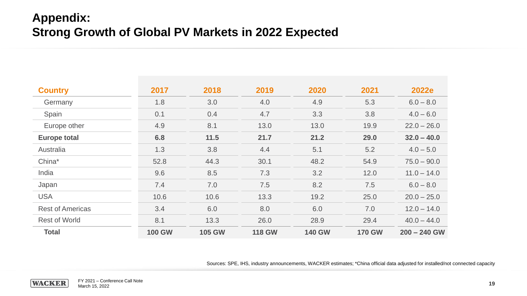# **Appendix: Strong Growth of Global PV Markets in 2022 Expected**

| <b>Country</b>          | 2017          | 2018          | 2019          | 2020          | 2021          | 2022e          |
|-------------------------|---------------|---------------|---------------|---------------|---------------|----------------|
| Germany                 | 1.8           | 3.0           | 4.0           | 4.9           | 5.3           | $6.0 - 8.0$    |
| Spain                   | 0.1           | 0.4           | 4.7           | 3.3           | 3.8           | $4.0 - 6.0$    |
| Europe other            | 4.9           | 8.1           | 13.0          | 13.0          | 19.9          | $22.0 - 26.0$  |
| <b>Europe total</b>     | 6.8           | 11.5          | 21.7          | 21.2          | 29.0          | $32.0 - 40.0$  |
| Australia               | 1.3           | 3.8           | 4.4           | 5.1           | 5.2           | $4.0 - 5.0$    |
| China*                  | 52.8          | 44.3          | 30.1          | 48.2          | 54.9          | $75.0 - 90.0$  |
| India                   | 9.6           | 8.5           | 7.3           | 3.2           | 12.0          | $11.0 - 14.0$  |
| Japan                   | 7.4           | 7.0           | 7.5           | 8.2           | 7.5           | $6.0 - 8.0$    |
| <b>USA</b>              | 10.6          | 10.6          | 13.3          | 19.2          | 25.0          | $20.0 - 25.0$  |
| <b>Rest of Americas</b> | 3.4           | 6.0           | 8.0           | 6.0           | 7.0           | $12.0 - 14.0$  |
| <b>Rest of World</b>    | 8.1           | 13.3          | 26.0          | 28.9          | 29.4          | $40.0 - 44.0$  |
| <b>Total</b>            | <b>100 GW</b> | <b>105 GW</b> | <b>118 GW</b> | <b>140 GW</b> | <b>170 GW</b> | $200 - 240$ GW |

Sources: SPE, IHS, industry announcements, WACKER estimates; \*China official data adjusted for installed/not connected capacity

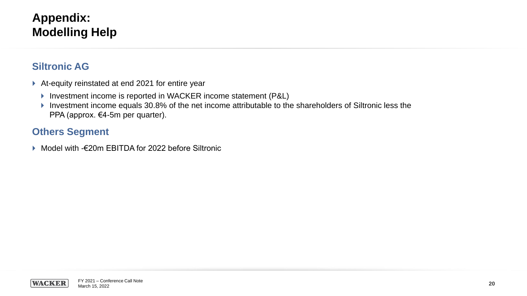# **Appendix: Modelling Help**

### **Siltronic AG**

- ▶ At-equity reinstated at end 2021 for entire year
	- ▶ Investment income is reported in WACKER income statement (P&L)
	- Investment income equals 30.8% of the net income attributable to the shareholders of Siltronic less the PPA (approx. €4-5m per quarter).

# **Others Segment**

Model with -€20m EBITDA for 2022 before Siltronic

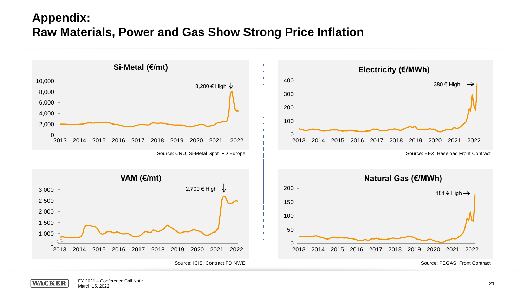# **Appendix: Raw Materials, Power and Gas Show Strong Price Inflation**